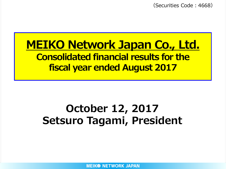(Securities Code:4668)

## **MEIKO Network Japan Co., Ltd. Consolidated financial results for the fiscal year ended August 2017**

## **October 12, 2017 Setsuro Tagami, President**

**MEIK® NETWORK JAPAN**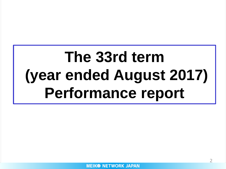# **The 33rd term (year ended August 2017) Performance report**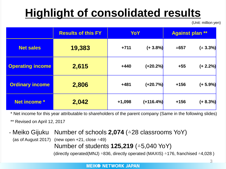## **Highlight of consolidated results**

(Unit: million yen)

|                         | <b>Results of this FY</b> | YoY      |             | <b>Against plan **</b> |             |  |
|-------------------------|---------------------------|----------|-------------|------------------------|-------------|--|
| <b>Net sales</b>        | 19,383                    | $+711$   | $(+3.8\%)$  | △657                   | $(4.3.3\%)$ |  |
| <b>Operating income</b> | 2,615                     | $+440$   | $(+20.2%)$  | $+55$                  | $(+ 2.2\%)$ |  |
| <b>Ordinary income</b>  | 2,806                     | $+481$   | $(+20.7%)$  | $+156$                 | $(+ 5.9\%)$ |  |
| Net income *            | 2,042                     | $+1,098$ | $(+116.4%)$ | $+156$                 | $(+ 8.3\%)$ |  |

\* Net income for this year attributable to shareholders of the parent company (Same in the following slides) \*\* Revised on April 12, 2017

- Meiko Gijuku Number of schools **2,074** (△28 classrooms YoY) (as of August 2017) (new open  $+21$ , close  $\triangle 49$ ) Number of students **125,219** (△5,040 YoY) (directly operated(MNJ)  $\triangle 836$ , directly operated (MAXIS)  $\triangle 176$ , franchised  $\triangle 4,028$ )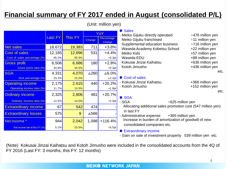### **Financial summary of FY 2017 ended in August (consolidated P/L)**

(Unit: million yen)

|                                |                |         | YoY             |                      |  |
|--------------------------------|----------------|---------|-----------------|----------------------|--|
|                                | <b>Last FY</b> | This FY | Change          | Percentage<br>change |  |
| <b>Net sales</b>               | 18,672         | 19,383  | 711             | $+3.8%$              |  |
| <b>Cost of sales</b>           | 12,165         | 12,696  | 531             | $+4.4%$              |  |
| Cost of sales percentage (%)   | 65.2%          | 65.5%   |                 | $+0.3pt$             |  |
| <b>Gross profit</b>            | 6,506          | 6,686   | 180             | $+2.8%$              |  |
| Gross profit ratio (%)         | 34.8%          | 34.5%   |                 | $+0.3pt$             |  |
| <b>SGA</b>                     | 4,331          | 4,070   | $\triangle$ 260 | $\Delta 6.0\%$       |  |
| <b>SGA</b> percentage (%)      | 23.2%          | 21.0%   |                 | $\Delta\,2.2pt$      |  |
| <b>Operating income</b>        | 2,175          | 2,615   | 440             | $+20.2%$             |  |
| Operating income ratio (%)     | 11.7%          | 13.5%   |                 | $+1.8pt$             |  |
| <b>Ordinary income</b>         | 2,325          | 2,806   | 481             | $+20.7%$             |  |
| Ordinary income ratio (%)      | 12.5%          | 14.5%   |                 | $+2.0pt$             |  |
| <b>Extraordinary income</b>    | 67             | 542     | 474             |                      |  |
| <b>Extraordinary losses</b>    | 575            | 9       | ∆566            |                      |  |
| Net income *                   | 944            | 2,042   | 1,098           | $+116.4%$            |  |
| Net income rate of this FY (%) | 5.1%           | 10.5%   |                 | $+5.5pt$             |  |

#### **Sales**

Meiko Gijuku directly operated <br>
a476 million yen Meiko Gijuku franchised △11 million yen Supplemental education business  $\sim$  4116 million yen Waseda Academy Kobetsu School +22 million yen Meiko Kids +57 million yen Waseda EDU +88 million yen Kokusai Jinzai Kaihatsu +636 million yen Kotoh Jimusho **+436 million yen** 

#### Cost of sales

Kokusai Jinzai Kaihatsu  $+366$  million yen - Kotoh Jimusho +152 million yen

#### **SGA**

- SGA △625 million ven Allocating additional sales promotion cost (547 million yen) in last FY Administrative expense +365 million yen
- Increase in burden of amortization of goodwill of new consolidated companies etc.

#### ■ Extraordinary income

- Gain on sale of investment property 539 million yen etc.

(Note) Kokusai Jinzai Kaihatsu and Kotoh Jimusho were included in the consolidated accounts from the 4Q of FY 2016 (Last FY: 3 months, this FY: 12 months)

#### **MEIK® NETWORK JAPAN**

etc.

etc.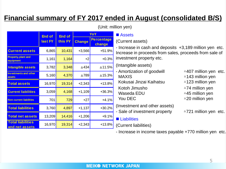### **Financial summary of FY 2017 ended in August (consolidated B/S)**

|                                            | <b>End of</b> | <b>End of</b>            |          | YoY                         |
|--------------------------------------------|---------------|--------------------------|----------|-----------------------------|
|                                            | last FY       | this FY<br><b>Change</b> |          | <b>Percentage</b><br>change |
| <b>Current assets</b>                      | 6,865         | 10,431                   | $+3,566$ | $+51.9%$                    |
| <b>Property, plant and</b><br>equipment    | 1,161         | 1,164                    | $+2$     | $+0.3%$                     |
| <b>Intangible assets</b>                   | 3,782         | 3,348                    | ∆434     | △11.5%                      |
| <b>Investments and other</b><br>assets     | 5,160         | 4,370                    | ∆789     | ∆15.3%                      |
| <b>Total assets</b>                        | 16,970        | 19,314                   | $+2,343$ | $+13.8%$                    |
| <b>Current liabilities</b>                 | 3,059         | 4,168                    | $+1,109$ | +36.3%                      |
| <b>Non-current liabilities</b>             | 701           | 729                      | $+27$    | $+4.1%$                     |
| <b>Total liabilities</b>                   | 3,760         | 4,897                    | $+1,137$ | $+30.2%$                    |
| <b>Total net assets</b>                    | 13,209        | 14,416                   | $+1,206$ | $+9.1%$                     |
| <b>Total liabilities</b><br>and net assets | 16,970        | 19,314                   | $+2,343$ | $+13.8%$                    |

#### (Unit: million yen)

#### ■ Assets

#### (Current assets)

- Increase in cash and deposits +3,189 million yen etc. Increase in proceeds from sales, proceeds from sale of investment property etc.

(Intangible assets)

| - Amortization of goodwill                                                                   | $\triangle$ 407 million yen etc. |
|----------------------------------------------------------------------------------------------|----------------------------------|
| <b>MAXIS</b>                                                                                 | △143 million yen                 |
| Kokusai Jinzai Kaihatsu                                                                      | △123 million yen                 |
| Kotoh Jimusho                                                                                | $\triangle$ 74 million yen       |
| Waseda EDU                                                                                   | $\triangle 45$ million yen       |
| You DEC                                                                                      | $\triangle$ 20 million yen       |
| (Investment and other assets)<br>- Sale of investment property<br>$\blacksquare$ Liobilitios | △721 million yen etc.            |

#### Liabilities

(Current liabilities)

- Increase in income taxes payable +770 million yen etc.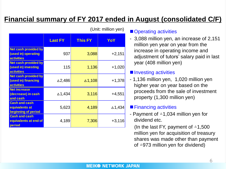### **Financial summary of FY 2017 ended in August (consolidated C/F)**

|                                                                         | <b>Last FY</b>    | <b>This FY</b> | YoY      |
|-------------------------------------------------------------------------|-------------------|----------------|----------|
| <b>Net cash provided by</b><br>(used in) operating<br><b>activities</b> | 937               | 3,088          | $+2,151$ |
| <b>Net cash provided by</b><br>(used in) investing<br><b>activities</b> | 115               | 1,136          | $+1,020$ |
| <b>Net cash provided by</b><br>(used in) financing<br><b>activities</b> | $\Delta$ 2,486    | $\Delta$ 1,108 | $+1,378$ |
| <b>Net increase</b><br>(decrease) in cash<br>and cash                   | $\triangle$ 1,434 | 3,116          | $+4,551$ |
| <b>Cash and cash</b><br>equivalents at<br>beginning of period           | 5,623             | 4,189          | ∆1,434   |
| <b>Cash and cash</b><br>equivalents at end of<br>period                 | 4,189             | 7,306          | $+3,116$ |

(Unit: million yen)

#### ■ Operating activities

- 3,088 million yen, an increase of 2,151 million yen year on year from the increase in operating income and adjustment of tutors' salary paid in last year (408 million yen)

#### ■ Investing activities

- 1,136 million yen, 1,020 million yen higher year on year based on the proceeds from the sale of investment property (1,300 million yen)

#### ■ Financing activities

- Payment of  $\triangle 1,034$  million yen for dividend etc.

(In the last FY, payment of  $\triangle 1,500$ million yen for acquisition of treasury shares was made other than payment of △973 million yen for dividend)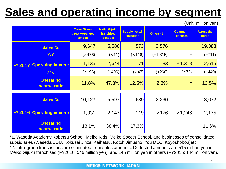## **Sales and operating income by segment**

(Unit: million yen)

|  |                                  | <b>Meiko Gijuku</b><br>directly operated<br><b>schools</b> | <b>Meiko Gijuku</b><br>franchised<br><b>schools</b> | <b>Supplemental</b><br>education | Others *1       | <b>Common</b><br>expenses | <b>Across the</b><br>board |
|--|----------------------------------|------------------------------------------------------------|-----------------------------------------------------|----------------------------------|-----------------|---------------------------|----------------------------|
|  | Sales *2                         | 9,647                                                      | 5,586                                               | 573                              | 3,576           |                           | 19,383                     |
|  | (YoY)                            | $(\Delta 476)$                                             | $(\triangle 11)$                                    | $(\Delta 116)$                   | $(+1, 315)$     |                           | $(+711)$                   |
|  | FY 2017 Operating income         | 1,135                                                      | 2,644                                               | 71                               | 83              | $\triangle$ 1,318         | 2,615                      |
|  | (YoY)                            | $(\triangle 196)$                                          | $(+496)$                                            | $(\triangle 47)$                 | $(+260)$        | $(\triangle 72)$          | $(+440)$                   |
|  | <b>Operating</b><br>income ratio | 11.8%                                                      | 47.3%                                               | 12.5%                            | 2.3%            |                           | 13.5%                      |
|  | Sales *2                         | 10,123                                                     | 5,597                                               | 689                              | 2,260           |                           | 18,672                     |
|  | <b>FY 2016 Operating income</b>  | 1,331                                                      | 2,147                                               | 119                              | $\triangle$ 176 | $\triangle$ 1,246         | 2,175                      |
|  | <b>Operating</b><br>income ratio | 13.1%                                                      | 38.4%                                               | 17.3%                            |                 |                           | 11.6%                      |

\*1. Waseda Academy Kobetsu School, Meiko Kids, Meiko Soccer School, and businesses of consolidated subsidiaries (Waseda EDU, Kokusai Jinzai Kaihatsu, Kotoh Jimusho, You DEC, Koyoshobou)etc. \*2. Intra-group transactions are eliminated from sales amounts. Deducted amounts are 515 million yen in Meiko Gijuku franchised (FY2016: 546 million yen), and 145 million yen in others (FY2016: 144 million yen).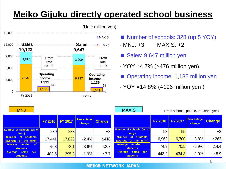### **Meiko Gijuku directly operated school business**



(Unit: million yen)

- Number of schools: 328 (up 5 YOY)
- MNJ: +3 MAXIS: +2
- Sales: 9,647 million yen
- $-$  YOY  $\triangle 4.7\%$  ( $\triangle 476$  million yen)
- Operating income: 1,135 million yen
- $-$  YOY  $\triangle$ 14.8% ( $\triangle$ 196 million yen)

| <b>MNJ</b>                                                         |                |                |                                    | <b>MAXIS</b>    |                                                                 |                | (Unit: schools, people, thousand yen) |                             |                 |
|--------------------------------------------------------------------|----------------|----------------|------------------------------------|-----------------|-----------------------------------------------------------------|----------------|---------------------------------------|-----------------------------|-----------------|
|                                                                    | <b>FY 2016</b> | <b>FY 2017</b> | <b>Percentage</b><br><b>change</b> | <b>Change</b>   |                                                                 | <b>FY 2016</b> | <b>FY 2017</b>                        | Percentage<br><b>change</b> | <b>Change</b>   |
| Number of schools (as of<br>Aug.)                                  | 230            | 233            | -                                  | $+3$            | Number of schools (as of<br>Aug.)                               | 93             | 95                                    |                             | $+2$            |
| of<br><b>students</b><br><b>Number</b><br>(average of<br>the term) | 17,441         | 17,023         | $-2.4%$                            | $\triangle$ 418 | of<br><b>students</b><br><b>Number</b><br>(average of the term) | 6,963          | 6,700                                 | $-3.8%$                     | △263            |
| number of<br>Average<br><b>students</b>                            | 75.8           | 73.1           | $-3.6%$                            | $\triangle$ 2.7 | number of<br>Average<br><b>students</b>                         | 74.9           | 70.5                                  | $-5.9%$                     | $\triangle$ 4.4 |
| sales per<br>Average<br><b>students</b>                            | 403.5          | 395.8          | $-1.9%$                            | $\Delta$ 7.7    | sales<br>Average<br><b>per</b><br><b>students</b>               | 443.2          | 434.3                                 | $-2.0%$                     | $\triangle$ 8.9 |

#### **MEIK® NETWORK JAPAN**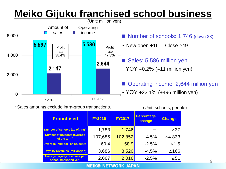## **Meiko Gijuku franchised school business**



\* Sales amounts exclude intra-group transactions. (Unit: schools, people)



| <b>Franchised</b>                                             | <b>FY2016</b> | <b>FY2017</b> | <b>Percentage</b><br>change | <b>Change</b>   |
|---------------------------------------------------------------|---------------|---------------|-----------------------------|-----------------|
| <b>Number of schools (as of Aug.)</b>                         | 1,783         | 1,746         |                             | $\triangle$ 37  |
| <b>Number of students (average)</b><br>of the term)           | 107,685       | 102,852       | $-4.5%$                     | △4,833          |
| <b>Average number of students</b>                             | 60.4          | 58.9          | $-2.5%$                     | $\triangle$ 1.5 |
| <b>Royality revenues (million yen)</b>                        | 3,686         | 3,520         | $-4.5%$                     | ∆166            |
| <b>Average royality revenues per</b><br>school (thousand yen) | 2,067         | 2,016         | $-2.5%$                     | $\Delta$ 51     |

#### **MEIK<sup>®</sup> NETWORK JAPAN**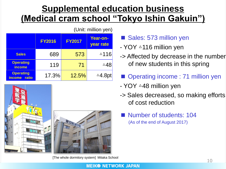### **Supplemental education business (Medical cram school "Tokyo Ishin Gakuin")**

|                                            | (Unit: million yen) |               |                   |  |  |  |  |  |
|--------------------------------------------|---------------------|---------------|-------------------|--|--|--|--|--|
|                                            | <b>FY2016</b>       | <b>FY2017</b> |                   |  |  |  |  |  |
| <b>Sales</b>                               | 689                 | 573           | △116              |  |  |  |  |  |
| <b>Operating</b><br><b>income</b>          | 119                 | 71            | ∆48               |  |  |  |  |  |
| <b>Operating</b><br>ratio<br><b>income</b> | 17.3%               | 12.5%         | $\triangle$ 4.8pt |  |  |  |  |  |



Sales: 573 million yen

- YOY △116 million yen
- -> Affected by decrease in the number of new students in this spring
	- Operating income : 71 million yen
- YOY △48 million yen
- -> Sales decreased, so making efforts of cost reduction
	- Number of students: 104 (As of the end of August 2017)

[The whole dormitory system] Mitaka School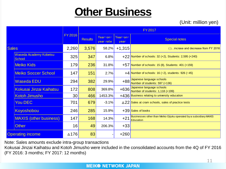## **Other Business**

|                         |                                                      |        |                | <b>FY2017</b>         |                  |                                                                                |  |  |
|-------------------------|------------------------------------------------------|--------|----------------|-----------------------|------------------|--------------------------------------------------------------------------------|--|--|
|                         |                                                      | FY2016 | <b>Results</b> | Year-on-<br>year rate | Year-on-<br>year | <b>Special notes</b>                                                           |  |  |
| <b>Sales</b>            |                                                      | 2,260  | 3,576          | 58.2%                 | $+1,315$         | ()incrase and decrease from FY 2016                                            |  |  |
|                         | Waseda Academy Kobetsu<br>School                     | 325    | 347            | 6.8%                  |                  | $+22$ Number of schools: 32 (+2), Students: 2,595 (+240)                       |  |  |
|                         | <b>Meiko Kids</b>                                    | 179    | 236            | 31.8%                 |                  | $+57$ Number of schools: 15 (8), Students: 401 (+159)                          |  |  |
|                         | <b>Meiko Soccer School</b>                           | 147    | 151            | 2.7%                  |                  | +4 Number of schools: 16 ( $\triangle 2$ ), students: 926 ( $\triangle 45$ )   |  |  |
|                         | Waseda EDU                                           | 294    | 382            | 29.9%                 | $+88$            | Japanese language schools<br>Number of students: 597 (+136)                    |  |  |
|                         | Kokusai Jinzai Kaihatsu                              | 172    | 808            | 369.8%                | $+636$           | Japanese language schools<br>Number of students: 1,118 (+199)                  |  |  |
|                         | <b>Kotoh Jimusho</b>                                 | 30     | 466            | 1453.3%               |                  | +436 Business relating to university education                                 |  |  |
|                         | You DEC                                              | 701    | 679            | $-3.1%$               |                  | $\triangle$ 22 Sales at cram schools, sales of practice tests                  |  |  |
|                         | Koyoshobou                                           | 246    | 285            | 15.9%                 |                  | +39 Sales of books                                                             |  |  |
|                         | <b>MAXIS (other business)</b>                        | 147    | 168            | 14.3%                 | $+21$            | Businesses other than Meiko Gijuku operated by a subsidiary MAXIS<br>Education |  |  |
|                         | <b>Other</b>                                         | 16     | 49             | 206.3%                | $+33$            |                                                                                |  |  |
| <b>Operating income</b> |                                                      | ∆176   | 83             |                       | $+260$           |                                                                                |  |  |
|                         | Note: Sales amounts exclude intra-group transactions |        |                |                       |                  |                                                                                |  |  |

Note: Sales amounts exclude intra-group transactions

Kokusai Jinzai Kaihatsu and Kotoh Jimusho were included in the consolidated accounts from the 4Q of FY 2016 (FY 2016: 3 months; FY 2017: 12 months)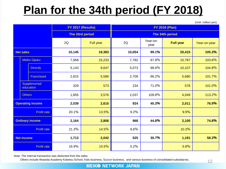## **Plan for the 34th period (FY 2018)**

(Unit: million yen)

|                        |                  |                           |        | FY 2017 (Results) |                 | <b>FY 2018 (Plan)</b> |                  |              |  |
|------------------------|------------------|---------------------------|--------|-------------------|-----------------|-----------------------|------------------|--------------|--|
|                        |                  |                           |        | The 33rd period   | The 34th period |                       |                  |              |  |
|                        |                  |                           | 2Q     | Full year         | 2Q              | Year-on-<br>year      | <b>Full year</b> | Year-on-year |  |
|                        | <b>Net sales</b> |                           | 10,145 | 19,383            | 10,054          | 99.1%                 | 20,415           | 105.3%       |  |
|                        |                  | Meiko Gijuku              | 7,958  | 15,233            | 7,782           | 97.8%                 | 15,787           | 103.6%       |  |
|                        |                  | <b>Directly</b>           | 5,143  | 9,647             | 5,073           | 98.6%                 | 10,107           | 104.8%       |  |
|                        |                  | Franchised                | 2,815  | 5,586             | 2,709           | 96.2%                 | 5,680            | 101.7%       |  |
|                        |                  | Supplemental<br>education | 329    | 573               | 234             | 71.0%                 | 578              | 101.0%       |  |
|                        | <b>Others</b>    |                           | 1,855  | 3,576             | 2,037           | 109.8%                | 4,049            | 113.2%       |  |
|                        |                  | <b>Operating income</b>   | 2,039  | 2,615             | 924             | 45.3%                 | 2,011            | 76.9%        |  |
|                        |                  | Profit rate               | 20.1%  | 13.5%             | $9.2\%$         |                       | 9.9%             |              |  |
| <b>Ordinary income</b> |                  |                           | 2,164  | 2,806             | 968             | 44.8%                 | 2,100            | 74.8%        |  |
| <b>Profit rate</b>     |                  |                           | 21.3%  | 14.5%             | 9.6%            |                       | 10.3%            |              |  |
| <b>Net income</b>      |                  |                           | 1,713  | 2,042             | 525             | 30.7%                 | 1,191            | 58.3%        |  |
| <b>Profit rate</b>     |                  |                           | 16.9%  | 10.5%             | 5.2%            |                       | 5.8%             |              |  |

Note: The internal transaction was deducted from the sales.

Others include Waseda Academy Kobetsu School, Kids business, Succor business, and various business of consolidated subsidiaries.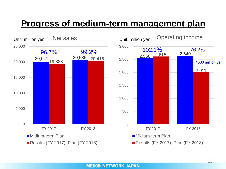### **Progress of medium-term management plan**

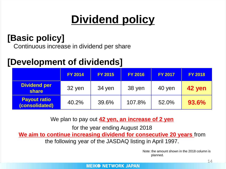## **Dividend policy**

### **[Basic policy]**

Continuous increase in dividend per share

### **[Development of dividends]**

|                                       | <b>FY 2014</b> | <b>FY 2015</b> | <b>FY 2016</b> | <b>FY 2017</b> | <b>FY 2018</b> |
|---------------------------------------|----------------|----------------|----------------|----------------|----------------|
| <b>Dividend per</b><br><b>share</b>   | 32 yen         | 34 yen         | 38 yen         | 40 yen         | 42 yen         |
| <b>Payout ratio</b><br>(consolidated) | 40.2%          | 39.6%          | 107.8%         | 52.0%          | 93.6%          |

We plan to pay out **42 yen, an increase of 2 yen**

for the year ending August 2018 **We aim to continue increasing dividend for consecutive 20 years** from the following year of the JASDAQ listing in April 1997.

> Note: the amount shown in the 2018 column is planned.